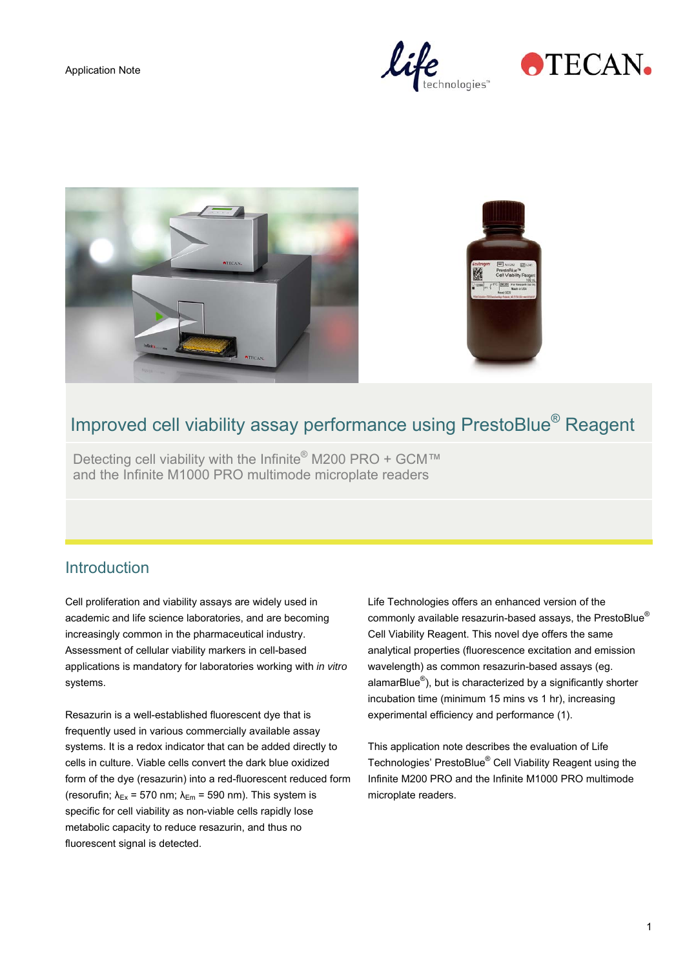Application Note









# Improved cell viability assay performance using PrestoBlue® Reagent

Detecting cell viability with the Infinite<sup>®</sup> M200 PRO + GCM™ and the Infinite M1000 PRO multimode microplate readers

### **Introduction**

Cell proliferation and viability assays are widely used in academic and life science laboratories, and are becoming increasingly common in the pharmaceutical industry. Assessment of cellular viability markers in cell-based applications is mandatory for laboratories working with *in vitro* systems.

Resazurin is a well-established fluorescent dye that is frequently used in various commercially available assay systems. It is a redox indicator that can be added directly to cells in culture. Viable cells convert the dark blue oxidized form of the dye (resazurin) into a red-fluorescent reduced form (resorufin;  $\lambda_{Ex}$  = 570 nm;  $\lambda_{Em}$  = 590 nm). This system is specific for cell viability as non-viable cells rapidly lose metabolic capacity to reduce resazurin, and thus no fluorescent signal is detected.

Life Technologies offers an enhanced version of the commonly available resazurin-based assays, the PrestoBlue® Cell Viability Reagent. This novel dye offers the same analytical properties (fluorescence excitation and emission wavelength) as common resazurin-based assays (eg. alamarBlue<sup>®</sup>), but is characterized by a significantly shorter incubation time (minimum 15 mins vs 1 hr), increasing experimental efficiency and performance (1).

This application note describes the evaluation of Life Technologies' PrestoBlue® Cell Viability Reagent using the Infinite M200 PRO and the Infinite M1000 PRO multimode microplate readers.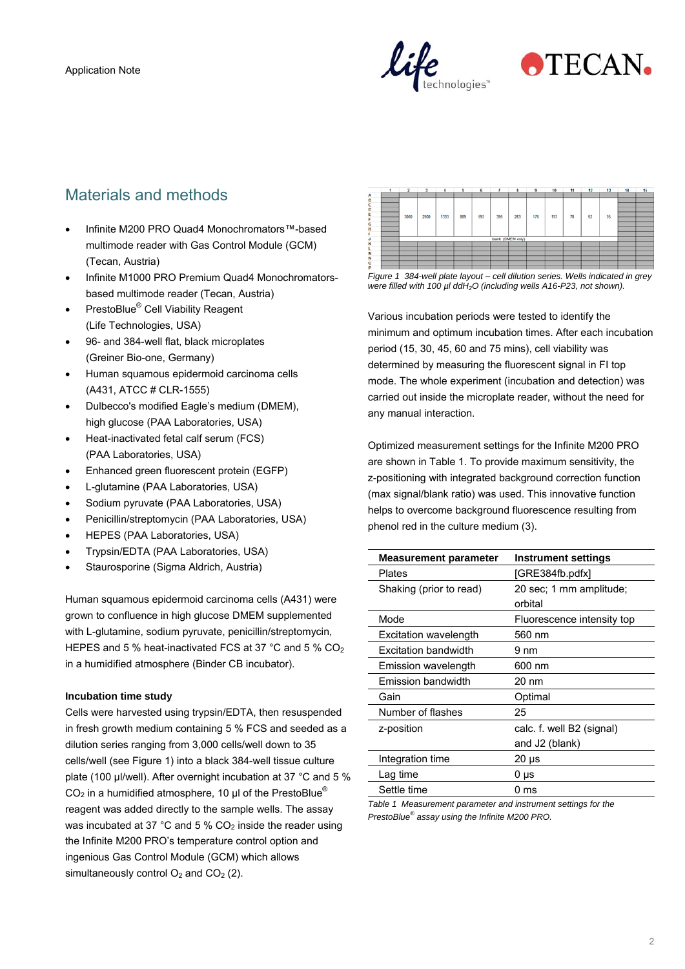



# Materials and methods

- Infinite M200 PRO Quad4 Monochromators™-based multimode reader with Gas Control Module (GCM) (Tecan, Austria)
- Infinite M1000 PRO Premium Quad4 Monochromatorsbased multimode reader (Tecan, Austria)
- PrestoBlue<sup>®</sup> Cell Viability Reagent (Life Technologies, USA)
- 96- and 384-well flat, black microplates (Greiner Bio-one, Germany)
- Human squamous epidermoid carcinoma cells (A431, ATCC # CLR-1555)
- Dulbecco's modified Eagle's medium (DMEM), high glucose (PAA Laboratories, USA)
- Heat-inactivated fetal calf serum (FCS) (PAA Laboratories, USA)
- Enhanced green fluorescent protein (EGFP)
- L-glutamine (PAA Laboratories, USA)
- Sodium pyruvate (PAA Laboratories, USA)
- Penicillin/streptomycin (PAA Laboratories, USA)
- HEPES (PAA Laboratories, USA)
- Trypsin/EDTA (PAA Laboratories, USA)
- Staurosporine (Sigma Aldrich, Austria)

Human squamous epidermoid carcinoma cells (A431) were grown to confluence in high glucose DMEM supplemented with L-glutamine, sodium pyruvate, penicillin/streptomycin, HEPES and 5 % heat-inactivated FCS at 37 °C and 5 % CO2 in a humidified atmosphere (Binder CB incubator).

#### **Incubation time study**

Cells were harvested using trypsin/EDTA, then resuspended in fresh growth medium containing 5 % FCS and seeded as a dilution series ranging from 3,000 cells/well down to 35 cells/well (see Figure 1) into a black 384-well tissue culture plate (100 µl/well). After overnight incubation at 37 °C and 5 %  $CO<sub>2</sub>$  in a humidified atmosphere, 10 µl of the PrestoBlue<sup>®</sup> reagent was added directly to the sample wells. The assay was incubated at 37 °C and 5 %  $CO<sub>2</sub>$  inside the reader using the Infinite M200 PRO's temperature control option and ingenious Gas Control Module (GCM) which allows simultaneously control  $O_2$  and  $CO_2$  (2).

|          |      |      |      |     | 6   |     | s                 |     | 10  | 11 | 12 | 13<br>٠ | 14 | 15 |
|----------|------|------|------|-----|-----|-----|-------------------|-----|-----|----|----|---------|----|----|
| А        |      |      |      |     |     |     |                   |     |     |    |    |         |    |    |
| B        |      |      |      |     |     |     |                   |     |     |    |    |         |    |    |
|          |      |      |      |     |     |     |                   |     |     |    |    |         |    |    |
| D        |      |      |      |     |     |     |                   |     |     |    |    |         |    |    |
|          | 3000 | 2000 | 1333 | 889 | 593 | 395 | 263               | 176 | 117 | 78 | 52 | 35      |    |    |
|          |      |      |      |     |     |     |                   |     |     |    |    |         |    |    |
| G        |      |      |      |     |     |     |                   |     |     |    |    |         |    |    |
|          |      |      |      |     |     |     |                   |     |     |    |    |         |    |    |
|          |      |      |      |     |     |     |                   |     |     |    |    |         |    |    |
|          |      |      |      |     |     |     | blank (DMEM only) |     |     |    |    |         |    |    |
|          |      |      |      |     |     |     |                   |     |     |    |    |         |    |    |
|          |      |      |      |     |     |     |                   |     |     |    |    |         |    |    |
|          |      |      |      |     |     |     |                   |     |     |    |    |         |    |    |
| N        |      |      |      |     |     |     |                   |     |     |    |    |         |    |    |
| $\Omega$ |      |      |      |     |     |     |                   |     |     |    |    |         |    |    |
|          |      |      |      |     |     |     |                   |     |     |    |    |         |    |    |

*Figure 1 384-well plate layout – cell dilution series. Wells indicated in grey were filled with 100 µl ddH2O (including wells A16-P23, not shown).* 

Various incubation periods were tested to identify the minimum and optimum incubation times. After each incubation period (15, 30, 45, 60 and 75 mins), cell viability was determined by measuring the fluorescent signal in FI top mode. The whole experiment (incubation and detection) was carried out inside the microplate reader, without the need for any manual interaction.

Optimized measurement settings for the Infinite M200 PRO are shown in Table 1. To provide maximum sensitivity, the z-positioning with integrated background correction function (max signal/blank ratio) was used. This innovative function helps to overcome background fluorescence resulting from phenol red in the culture medium (3).

| <b>Measurement parameter</b> | Instrument settings        |
|------------------------------|----------------------------|
| Plates                       | [GRE384fb.pdfx]            |
| Shaking (prior to read)      | 20 sec: 1 mm amplitude:    |
|                              | orbital                    |
| Mode                         | Fluorescence intensity top |
| Excitation wavelength        | 560 nm                     |
| Excitation bandwidth         | 9 nm                       |
| Emission wavelength          | 600 nm                     |
| Emission bandwidth           | $20 \text{ nm}$            |
| Gain                         | Optimal                    |
| Number of flashes            | 25                         |
| z-position                   | calc. f. well B2 (signal)  |
|                              | and J2 (blank)             |
| Integration time             | $20 \mu s$                 |
| Lag time                     | 0 µs                       |
| Settle time                  | 0 ms                       |
|                              |                            |

*Table 1 Measurement parameter and instrument settings for the PrestoBlue® assay using the Infinite M200 PRO.*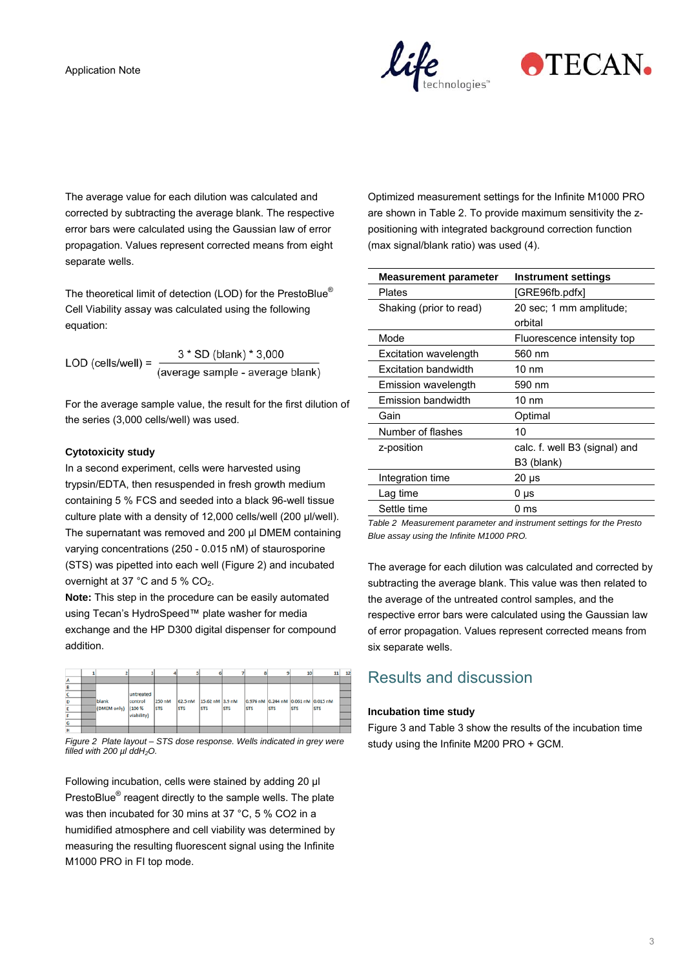



The average value for each dilution was calculated and corrected by subtracting the average blank. The respective error bars were calculated using the Gaussian law of error propagation. Values represent corrected means from eight separate wells.

The theoretical limit of detection (LOD) for the PrestoBlue® Cell Viability assay was calculated using the following equation:

LOD (cells/well) =  $\frac{3 * SD (blank) * 3,000}{(average sample - average blank)}$ 

For the average sample value, the result for the first dilution of the series (3,000 cells/well) was used.

#### **Cytotoxicity study**

In a second experiment, cells were harvested using trypsin/EDTA, then resuspended in fresh growth medium containing 5 % FCS and seeded into a black 96-well tissue culture plate with a density of 12,000 cells/well (200 µl/well). The supernatant was removed and 200 µl DMEM containing varying concentrations (250 - 0.015 nM) of staurosporine (STS) was pipetted into each well (Figure 2) and incubated overnight at 37 °C and 5 % CO<sub>2</sub>.

**Note:** This step in the procedure can be easily automated using Tecan's HydroSpeed™ plate washer for media exchange and the HP D300 digital dispenser for compound addition.

|   |             |            |            |            | 6               |            | 8                                   | ۹          | 10 <sup>1</sup> | 11         | 12 |
|---|-------------|------------|------------|------------|-----------------|------------|-------------------------------------|------------|-----------------|------------|----|
| А |             |            |            |            |                 |            |                                     |            |                 |            |    |
|   |             |            |            |            |                 |            |                                     |            |                 |            |    |
|   |             | untreated  |            |            |                 |            |                                     |            |                 |            |    |
| D | blank       | control    | 250 nM     | 62.5 nM    | 15.62 nM 3.9 nM |            | 0.976 nM 0.244 nM 0.061 nM 0.015 nM |            |                 |            |    |
|   | (DMEM only) | (100 %     | <b>STS</b> | <b>STS</b> | <b>STS</b>      | <b>STS</b> | <b>STS</b>                          | <b>STS</b> | <b>STS</b>      | <b>STS</b> |    |
|   |             | viability) |            |            |                 |            |                                     |            |                 |            |    |
| G |             |            |            |            |                 |            |                                     |            |                 |            |    |
| н |             |            |            |            |                 |            |                                     |            |                 |            |    |

*Figure 2 Plate layout – STS dose response. Wells indicated in grey were filled with 200 µl ddH2O.* 

Following incubation, cells were stained by adding 20 µl PrestoBlue<sup>®</sup> reagent directly to the sample wells. The plate was then incubated for 30 mins at 37 °C, 5 % CO2 in a humidified atmosphere and cell viability was determined by measuring the resulting fluorescent signal using the Infinite M1000 PRO in FI top mode.

Optimized measurement settings for the Infinite M1000 PRO are shown in Table 2. To provide maximum sensitivity the zpositioning with integrated background correction function (max signal/blank ratio) was used (4).

| <b>Measurement parameter</b> | <b>Instrument settings</b>    |
|------------------------------|-------------------------------|
| Plates                       | [GRE96fb.pdfx]                |
| Shaking (prior to read)      | 20 sec; 1 mm amplitude;       |
|                              | orbital                       |
| Mode                         | Fluorescence intensity top    |
| Excitation wavelength        | 560 nm                        |
| <b>Excitation bandwidth</b>  | $10 \text{ nm}$               |
| Emission wavelength          | 590 nm                        |
| Emission bandwidth           | $10 \text{ nm}$               |
| Gain                         | Optimal                       |
| Number of flashes            | 10                            |
| z-position                   | calc. f. well B3 (signal) and |
|                              | B <sub>3</sub> (blank)        |
| Integration time             | $20 \mu s$                    |
| Lag time                     | 0 µs                          |
| Settle time                  | ms                            |
|                              |                               |

*Table 2 Measurement parameter and instrument settings for the Presto Blue assay using the Infinite M1000 PRO.* 

The average for each dilution was calculated and corrected by subtracting the average blank. This value was then related to the average of the untreated control samples, and the respective error bars were calculated using the Gaussian law of error propagation. Values represent corrected means from six separate wells.

### Results and discussion

#### **Incubation time study**

Figure 3 and Table 3 show the results of the incubation time study using the Infinite M200 PRO + GCM.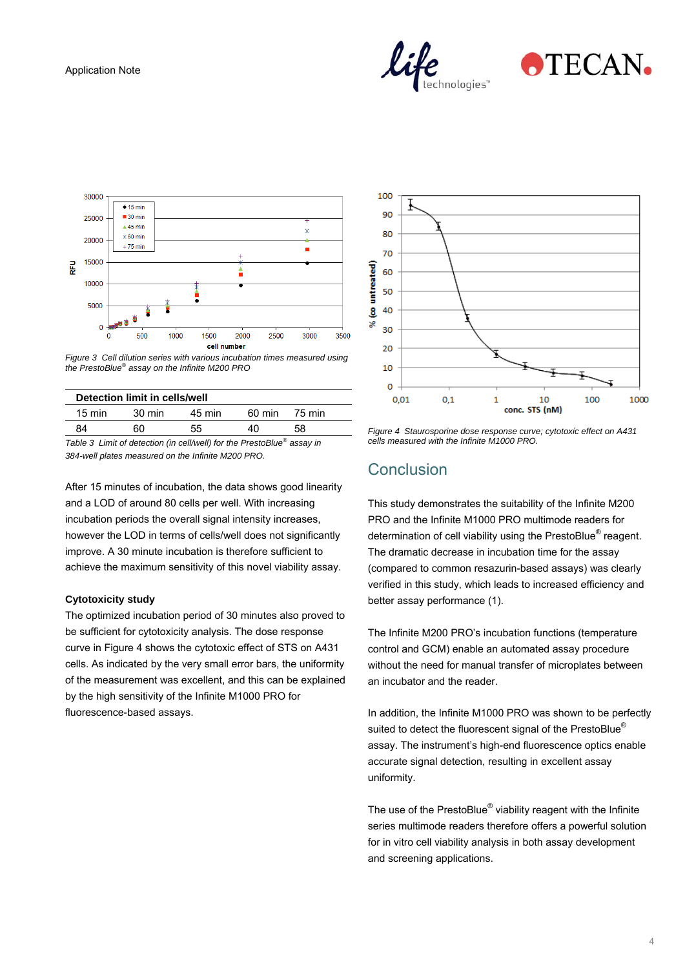



*Figure 3 Cell dilution series with various incubation times measured using the PrestoBlue® assay on the Infinite M200 PRO* 

| Detection limit in cells/well                                          |        |        |        |        |  |  |  |
|------------------------------------------------------------------------|--------|--------|--------|--------|--|--|--|
| $15 \text{ min}$                                                       | 30 min | 45 min | 60 min | 75 min |  |  |  |
| 84                                                                     | 60     | 55     | 40     | 58     |  |  |  |
| Table 3 Limit of detection (in cell/well) for the PrestoBlue® assay in |        |        |        |        |  |  |  |

*384-well plates measured on the Infinite M200 PRO.* 

After 15 minutes of incubation, the data shows good linearity and a LOD of around 80 cells per well. With increasing incubation periods the overall signal intensity increases, however the LOD in terms of cells/well does not significantly improve. A 30 minute incubation is therefore sufficient to achieve the maximum sensitivity of this novel viability assay.

#### **Cytotoxicity study**

The optimized incubation period of 30 minutes also proved to be sufficient for cytotoxicity analysis. The dose response curve in Figure 4 shows the cytotoxic effect of STS on A431 cells. As indicated by the very small error bars, the uniformity of the measurement was excellent, and this can be explained by the high sensitivity of the Infinite M1000 PRO for fluorescence-based assays.



*Figure 4 Staurosporine dose response curve; cytotoxic effect on A431 cells measured with the Infinite M1000 PRO.* 

# Conclusion

This study demonstrates the suitability of the Infinite M200 PRO and the Infinite M1000 PRO multimode readers for determination of cell viability using the PrestoBlue® reagent. The dramatic decrease in incubation time for the assay (compared to common resazurin-based assays) was clearly verified in this study, which leads to increased efficiency and better assay performance (1).

The Infinite M200 PRO's incubation functions (temperature control and GCM) enable an automated assay procedure without the need for manual transfer of microplates between an incubator and the reader.

In addition, the Infinite M1000 PRO was shown to be perfectly suited to detect the fluorescent signal of the PrestoBlue<sup>®</sup> assay. The instrument's high-end fluorescence optics enable accurate signal detection, resulting in excellent assay uniformity.

The use of the PrestoBlue<sup>®</sup> viability reagent with the Infinite series multimode readers therefore offers a powerful solution for in vitro cell viability analysis in both assay development and screening applications.